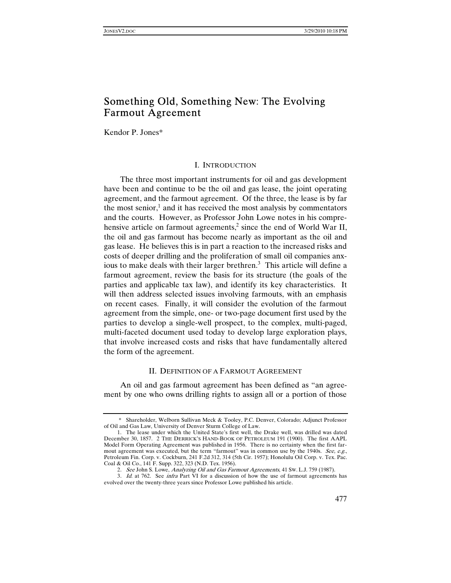# Something Old, Something New: The Evolving Farmout Agreement

Kendor P. Jones\*

## I. INTRODUCTION

The three most important instruments for oil and gas development have been and continue to be the oil and gas lease, the joint operating agreement, and the farmout agreement. Of the three, the lease is by far the most senior, $<sup>1</sup>$  and it has received the most analysis by commentators</sup> and the courts. However, as Professor John Lowe notes in his comprehensive article on farmout agreements,<sup>2</sup> since the end of World War II, the oil and gas farmout has become nearly as important as the oil and gas lease. He believes this is in part a reaction to the increased risks and costs of deeper drilling and the proliferation of small oil companies anxious to make deals with their larger brethren.<sup>3</sup> This article will define a farmout agreement, review the basis for its structure (the goals of the parties and applicable tax law), and identify its key characteristics. It will then address selected issues involving farmouts, with an emphasis on recent cases. Finally, it will consider the evolution of the farmout agreement from the simple, one- or two-page document first used by the parties to develop a single-well prospect, to the complex, multi-paged, multi-faceted document used today to develop large exploration plays, that involve increased costs and risks that have fundamentally altered the form of the agreement.

## II. DEFINITION OF A FARMOUT AGREEMENT

An oil and gas farmout agreement has been defined as "an agreement by one who owns drilling rights to assign all or a portion of those

 <sup>\*</sup> Shareholder, Welborn Sullivan Meck & Tooley, P.C. Denver, Colorado; Adjunct Professor of Oil and Gas Law, University of Denver Sturm College of Law.

 <sup>1.</sup> The lease under which the United State's first well, the Drake well, was drilled was dated December 30, 1857. 2 THE DERRICK'S HAND-BOOK OF PETROLEUM 191 (1900). The first AAPL Model Form Operating Agreement was published in 1956. There is no certainty when the first farmout agreement was executed, but the term "farmout" was in common use by the 1940s. See, e.g., Petroleum Fin. Corp. v. Cockburn, 241 F.2d 312, 314 (5th Cir. 1957); Honolulu Oil Corp. v. Tex. Pac. Coal & Oil Co., 141 F. Supp. 322, 323 (N.D. Tex. 1956).

<sup>2</sup>. See John S. Lowe, Analyzing Oil and Gas Farmout Agreements, 41 SW. L.J. 759 (1987).

<sup>3</sup>. Id. at 762. See infra Part VI for a discussion of how the use of farmout agreements has evolved over the twenty-three years since Professor Lowe published his article.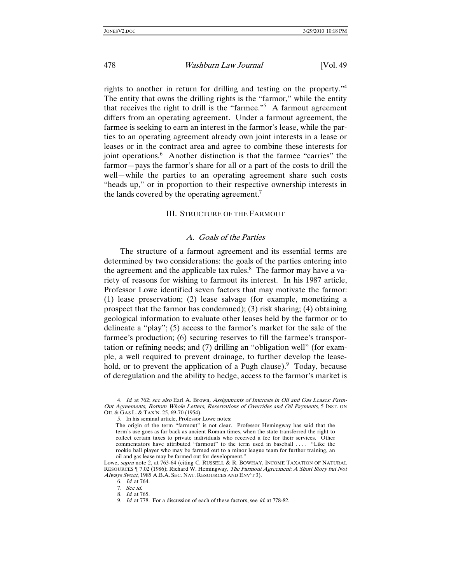rights to another in return for drilling and testing on the property."<sup>4</sup> The entity that owns the drilling rights is the "farmor," while the entity that receives the right to drill is the "farmee."<sup>5</sup> A farmout agreement differs from an operating agreement. Under a farmout agreement, the farmee is seeking to earn an interest in the farmor's lease, while the parties to an operating agreement already own joint interests in a lease or leases or in the contract area and agree to combine these interests for joint operations.<sup>6</sup> Another distinction is that the farmee "carries" the farmor—pays the farmor's share for all or a part of the costs to drill the well—while the parties to an operating agreement share such costs "heads up," or in proportion to their respective ownership interests in the lands covered by the operating agreement.<sup>7</sup>

#### III. STRUCTURE OF THE FARMOUT

#### A. Goals of the Parties

The structure of a farmout agreement and its essential terms are determined by two considerations: the goals of the parties entering into the agreement and the applicable tax rules.<sup>8</sup> The farmor may have a variety of reasons for wishing to farmout its interest. In his 1987 article, Professor Lowe identified seven factors that may motivate the farmor: (1) lease preservation; (2) lease salvage (for example, monetizing a prospect that the farmor has condemned); (3) risk sharing; (4) obtaining geological information to evaluate other leases held by the farmor or to delineate a "play"; (5) access to the farmor's market for the sale of the farmee's production; (6) securing reserves to fill the farmee's transportation or refining needs; and (7) drilling an "obligation well" (for example, a well required to prevent drainage, to further develop the leasehold, or to prevent the application of a Pugh clause).  $9$  Today, because of deregulation and the ability to hedge, access to the farmor's market is

<sup>4.</sup> Id. at 762; see also Earl A. Brown, Assignments of Interests in Oil and Gas Leases: Farm-Out Agreements, Bottom Whole Letters, Reservations of Overrides and Oil Payments, 5 INST. ON OIL & GAS L. & TAX'N. 25, 69-70 (1954).

 <sup>5.</sup> In his seminal article, Professor Lowe notes:

The origin of the term "farmout" is not clear. Professor Hemingway has said that the term's use goes as far back as ancient Roman times, when the state transferred the right to collect certain taxes to private individuals who received a fee for their services. Other commentators have attributed "farmout" to the term used in baseball . . . . "Like the rookie ball player who may be farmed out to a minor league team for further training, an oil and gas lease may be farmed out for development."

Lowe, *supra* note 2, at 763-64 (citing C. RUSSELL & R. BOWHAY, INCOME TAXATION OF NATURAL RESOURCES ¶ 7.02 (1986); Richard W. Hemingway, The Farmout Agreement: A Short Story but Not Always Sweet, 1985 A.B.A. SEC. NAT. RESOURCES AND ENV'T 3).

<sup>6</sup>. Id. at 764.

<sup>7</sup>. See id.

<sup>8</sup>. Id. at 765.

<sup>9</sup>. Id. at 778. For a discussion of each of these factors, see id. at 778-82.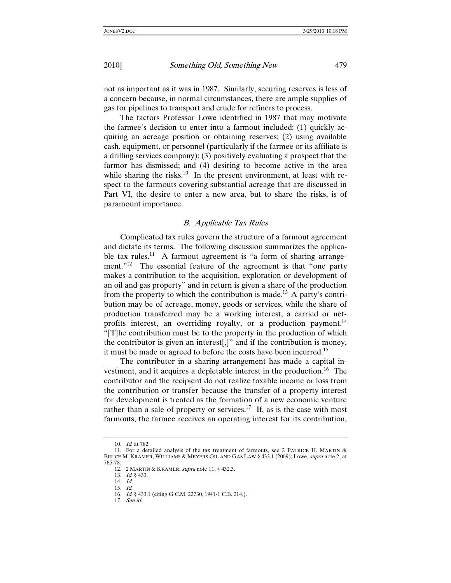not as important as it was in 1987. Similarly, securing reserves is less of a concern because, in normal circumstances, there are ample supplies of gas for pipelines to transport and crude for refiners to process.

The factors Professor Lowe identified in 1987 that may motivate the farmee's decision to enter into a farmout included: (1) quickly acquiring an acreage position or obtaining reserves; (2) using available cash, equipment, or personnel (particularly if the farmee or its affiliate is a drilling services company); (3) positively evaluating a prospect that the farmor has dismissed; and (4) desiring to become active in the area while sharing the risks.<sup>10</sup> In the present environment, at least with respect to the farmouts covering substantial acreage that are discussed in Part VI, the desire to enter a new area, but to share the risks, is of paramount importance.

### B. Applicable Tax Rules

Complicated tax rules govern the structure of a farmout agreement and dictate its terms. The following discussion summarizes the applicable tax rules.<sup>11</sup> A farmout agreement is "a form of sharing arrangement."<sup>12</sup> The essential feature of the agreement is that "one party" makes a contribution to the acquisition, exploration or development of an oil and gas property" and in return is given a share of the production from the property to which the contribution is made.<sup>13</sup> A party's contribution may be of acreage, money, goods or services, while the share of production transferred may be a working interest, a carried or netprofits interest, an overriding royalty, or a production payment.<sup>14</sup> "[T]he contribution must be to the property in the production of which the contributor is given an interest[,]" and if the contribution is money, it must be made or agreed to before the costs have been incurred.<sup>15</sup>

The contributor in a sharing arrangement has made a capital investment, and it acquires a depletable interest in the production.<sup>16</sup> The contributor and the recipient do not realize taxable income or loss from the contribution or transfer because the transfer of a property interest for development is treated as the formation of a new economic venture rather than a sale of property or services.<sup>17</sup> If, as is the case with most farmouts, the farmee receives an operating interest for its contribution,

<sup>10</sup>. Id. at 782.

 <sup>11.</sup> For a detailed analysis of the tax treatment of farmouts, see 2 PATRICK H. MARTIN & BRUCE M. KRAMER, WILLIAMS & MEYERS OIL AND GAS LAW § 433.1 (2009); Lowe, supra note 2, at 765-78.

 <sup>12. 2</sup> MARTIN & KRAMER, supra note 11, § 432.3.

<sup>13</sup>. Id. § 433.

<sup>14</sup>. Id.

<sup>15</sup>. Id.

<sup>16</sup>. Id. § 433.1 (citing G.C.M. 22730, 1941-1 C.B. 214.).

<sup>17</sup>. See id.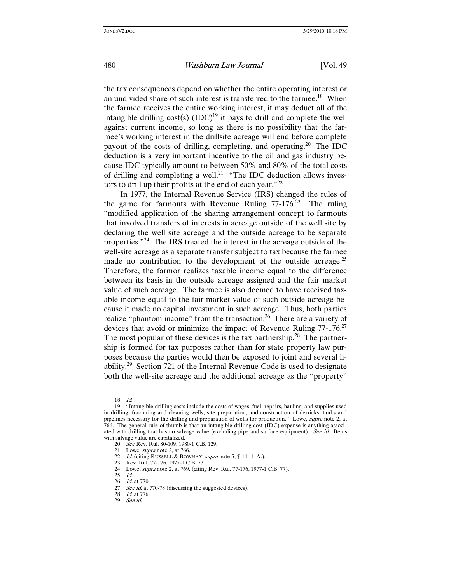the tax consequences depend on whether the entire operating interest or an undivided share of such interest is transferred to the farmee.<sup>18</sup> When the farmee receives the entire working interest, it may deduct all of the intangible drilling cost(s)  $(IDC)^{19}$  it pays to drill and complete the well against current income, so long as there is no possibility that the farmee's working interest in the drillsite acreage will end before complete payout of the costs of drilling, completing, and operating.<sup>20</sup> The IDC deduction is a very important incentive to the oil and gas industry because IDC typically amount to between 50% and 80% of the total costs of drilling and completing a well.<sup>21</sup> "The IDC deduction allows investors to drill up their profits at the end of each year."<sup>22</sup>

In 1977, the Internal Revenue Service (IRS) changed the rules of the game for farmouts with Revenue Ruling  $77-176$ <sup>23</sup> The ruling "modified application of the sharing arrangement concept to farmouts that involved transfers of interests in acreage outside of the well site by declaring the well site acreage and the outside acreage to be separate properties."<sup>24</sup> The IRS treated the interest in the acreage outside of the well-site acreage as a separate transfer subject to tax because the farmee made no contribution to the development of the outside acreage.<sup>25</sup> Therefore, the farmor realizes taxable income equal to the difference between its basis in the outside acreage assigned and the fair market value of such acreage. The farmee is also deemed to have received taxable income equal to the fair market value of such outside acreage because it made no capital investment in such acreage. Thus, both parties realize "phantom income" from the transaction.<sup>26</sup> There are a variety of devices that avoid or minimize the impact of Revenue Ruling 77-176.<sup>27</sup> The most popular of these devices is the tax partnership.<sup>28</sup> The partnership is formed for tax purposes rather than for state property law purposes because the parties would then be exposed to joint and several liability.<sup>29</sup> Section 721 of the Internal Revenue Code is used to designate both the well-site acreage and the additional acreage as the "property"

<sup>18</sup>. Id.

 <sup>19. &</sup>quot;Intangible drilling costs include the costs of wages, fuel, repairs, hauling, and supplies used in drilling, fracturing and cleaning wells, site preparation, and construction of derricks, tanks and pipelines necessary for the drilling and preparation of wells for production." Lowe, supra note 2, at 766. The general rule of thumb is that an intangible drilling cost (IDC) expense is anything associated with drilling that has no salvage value (excluding pipe and surface equipment). See id. Items with salvage value are capitalized.

<sup>20.</sup> See Rev. Rul. 80-109, 1980-1 C.B. 129.

 <sup>21.</sup> Lowe, supra note 2, at 766.

<sup>22.</sup> Id. (citing RUSSELL & BOWHAY, *supra* note 5, ¶ 14.11-A.).

 <sup>23.</sup> Rev. Rul. 77-176, 1977-1 C.B. 77.

 <sup>24.</sup> Lowe, supra note 2, at 769. (citing Rev. Rul. 77-176, 1977-1 C.B. 77).

<sup>25</sup>. Id.

<sup>26</sup>. Id. at 770.

<sup>27.</sup> See id. at 770-78 (discussing the suggested devices).

<sup>28</sup>. Id. at 776.

<sup>29</sup>. See id.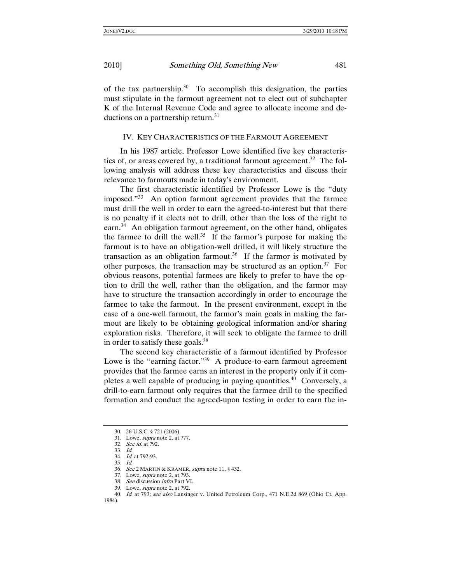of the tax partnership.<sup>30</sup> To accomplish this designation, the parties must stipulate in the farmout agreement not to elect out of subchapter K of the Internal Revenue Code and agree to allocate income and deductions on a partnership return.<sup>31</sup>

### IV. KEY CHARACTERISTICS OF THE FARMOUT AGREEMENT

In his 1987 article, Professor Lowe identified five key characteristics of, or areas covered by, a traditional farmout agreement.<sup>32</sup> The following analysis will address these key characteristics and discuss their relevance to farmouts made in today's environment.

The first characteristic identified by Professor Lowe is the "duty imposed."33 An option farmout agreement provides that the farmee must drill the well in order to earn the agreed-to-interest but that there is no penalty if it elects not to drill, other than the loss of the right to earn.<sup>34</sup> An obligation farmout agreement, on the other hand, obligates the farmee to drill the well.<sup>35</sup> If the farmor's purpose for making the farmout is to have an obligation-well drilled, it will likely structure the transaction as an obligation farmout.<sup>36</sup> If the farmor is motivated by other purposes, the transaction may be structured as an option.<sup>37</sup> For obvious reasons, potential farmees are likely to prefer to have the option to drill the well, rather than the obligation, and the farmor may have to structure the transaction accordingly in order to encourage the farmee to take the farmout. In the present environment, except in the case of a one-well farmout, the farmor's main goals in making the farmout are likely to be obtaining geological information and/or sharing exploration risks. Therefore, it will seek to obligate the farmee to drill in order to satisfy these goals.38

The second key characteristic of a farmout identified by Professor Lowe is the "earning factor."<sup>39</sup> A produce-to-earn farmout agreement provides that the farmee earns an interest in the property only if it completes a well capable of producing in paying quantities.<sup>40</sup> Conversely, a drill-to-earn farmout only requires that the farmee drill to the specified formation and conduct the agreed-upon testing in order to earn the in-

 <sup>30. 26</sup> U.S.C. § 721 (2006).

 <sup>31.</sup> Lowe, supra note 2, at 777.

<sup>32</sup>. See id. at 792.

<sup>33</sup>. Id.

<sup>34</sup>. Id. at 792-93.

<sup>35</sup>. Id.

<sup>36</sup>. See 2 MARTIN & KRAMER, supra note 11, § 432.

 <sup>37.</sup> Lowe, supra note 2, at 793.

<sup>38</sup>. See discussion infra Part VI.

 <sup>39.</sup> Lowe, supra note 2, at 792.

<sup>40.</sup> Id. at 793; see also Lansinger v. United Petroleum Corp., 471 N.E.2d 869 (Ohio Ct. App. 1984).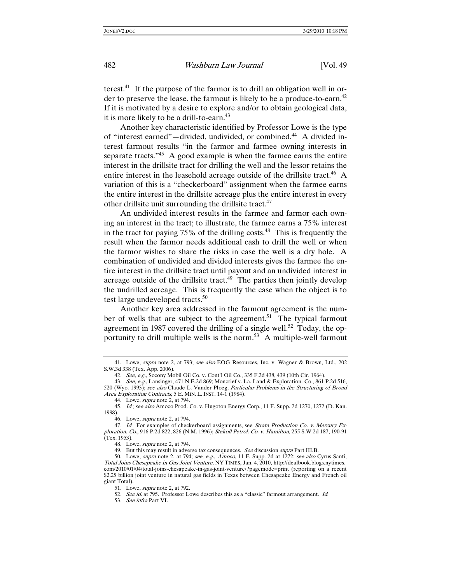terest.<sup>41</sup> If the purpose of the farmor is to drill an obligation well in order to preserve the lease, the farmout is likely to be a produce-to-earn.<sup>42</sup> If it is motivated by a desire to explore and/or to obtain geological data, it is more likely to be a drill-to-earn.<sup>43</sup>

Another key characteristic identified by Professor Lowe is the type of "interest earned"—divided, undivided, or combined.44 A divided interest farmout results "in the farmor and farmee owning interests in separate tracts. $145$  A good example is when the farmee earns the entire interest in the drillsite tract for drilling the well and the lessor retains the entire interest in the leasehold acreage outside of the drillsite tract.<sup>46</sup> A variation of this is a "checkerboard" assignment when the farmee earns the entire interest in the drillsite acreage plus the entire interest in every other drillsite unit surrounding the drillsite tract.<sup>47</sup>

An undivided interest results in the farmee and farmor each owning an interest in the tract; to illustrate, the farmee earns a 75% interest in the tract for paying  $75\%$  of the drilling costs.<sup>48</sup> This is frequently the result when the farmor needs additional cash to drill the well or when the farmor wishes to share the risks in case the well is a dry hole. A combination of undivided and divided interests gives the farmee the entire interest in the drillsite tract until payout and an undivided interest in acreage outside of the drillsite tract. $49$  The parties then jointly develop the undrilled acreage. This is frequently the case when the object is to test large undeveloped tracts.<sup>50</sup>

Another key area addressed in the farmout agreement is the number of wells that are subject to the agreement.<sup>51</sup> The typical farmout agreement in 1987 covered the drilling of a single well.<sup>52</sup> Today, the opportunity to drill multiple wells is the norm.<sup>53</sup> A multiple-well farmout

 <sup>41.</sup> Lowe, supra note 2, at 793; see also EOG Resources, Inc. v. Wagner & Brown, Ltd., 202 S.W.3d 338 (Tex. App. 2006).

<sup>42</sup>. See, e.g., Socony Mobil Oil Co. v. Cont'l Oil Co., 335 F.2d 438, 439 (10th Cir. 1964).

<sup>43.</sup> See, e.g., Lansinger, 471 N.E.2d 869; Moncrief v. La. Land & Exploration. Co., 861 P.2d 516, 520 (Wyo. 1993); see also Claude L. Vander Ploeg, Particular Problems in the Structuring of Broad Area Exploration Contracts, 5 E. MIN. L. INST. 14-1 (1984).

 <sup>44.</sup> Lowe, supra note 2, at 794.

<sup>45.</sup> Id.; see also Amoco Prod. Co. v. Hugoton Energy Corp., 11 F. Supp. 2d 1270, 1272 (D. Kan. 1998).

 <sup>46.</sup> Lowe, supra note 2, at 794.

<sup>47.</sup> Id. For examples of checkerboard assignments, see Strata Production Co. v. Mercury Exploration. Co., 916 P.2d 822, 826 (N.M. 1996); Stekoll Petrol. Co. v. Hamilton, 255 S.W.2d 187, 190-91 (Tex. 1953).

 <sup>48.</sup> Lowe, supra note 2, at 794.

<sup>49.</sup> But this may result in adverse tax consequences. See discussion supra Part III.B.

 <sup>50.</sup> Lowe, supra note 2, at 794; see, e.g., Amoco, 11 F. Supp. 2d at 1272; see also Cyrus Santi, Total Joins Chesapeake in Gas Joint Venture, NY TIMES, Jan. 4, 2010, http://dealbook.blogs.nytimes. com/2010/01/04/total-joins-chesapeake-in-gas-joint-venture/?pagemode=print (reporting on a recent \$2.25 billion joint venture in natural gas fields in Texas between Chesapeake Energy and French oil giant Total).

 <sup>51.</sup> Lowe, supra note 2, at 792.

<sup>52.</sup> See id. at 795. Professor Lowe describes this as a "classic" farmout arrangement. Id.

<sup>53</sup>. See infra Part VI.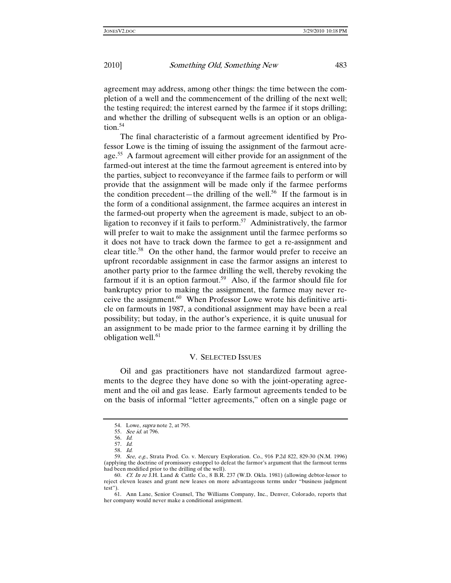agreement may address, among other things: the time between the completion of a well and the commencement of the drilling of the next well; the testing required; the interest earned by the farmee if it stops drilling; and whether the drilling of subsequent wells is an option or an obliga- $\text{tion.}^{54}$ 

The final characteristic of a farmout agreement identified by Professor Lowe is the timing of issuing the assignment of the farmout acreage.<sup>55</sup> A farmout agreement will either provide for an assignment of the farmed-out interest at the time the farmout agreement is entered into by the parties, subject to reconveyance if the farmee fails to perform or will provide that the assignment will be made only if the farmee performs the condition precedent—the drilling of the well.<sup>56</sup> If the farmout is in the form of a conditional assignment, the farmee acquires an interest in the farmed-out property when the agreement is made, subject to an obligation to reconvey if it fails to perform.<sup>57</sup> Administratively, the farmor will prefer to wait to make the assignment until the farmee performs so it does not have to track down the farmee to get a re-assignment and clear title.58 On the other hand, the farmor would prefer to receive an upfront recordable assignment in case the farmor assigns an interest to another party prior to the farmee drilling the well, thereby revoking the farmout if it is an option farmout.<sup>59</sup> Also, if the farmor should file for bankruptcy prior to making the assignment, the farmee may never receive the assignment.60 When Professor Lowe wrote his definitive article on farmouts in 1987, a conditional assignment may have been a real possibility; but today, in the author's experience, it is quite unusual for an assignment to be made prior to the farmee earning it by drilling the obligation well.<sup>61</sup>

#### V. SELECTED ISSUES

Oil and gas practitioners have not standardized farmout agreements to the degree they have done so with the joint-operating agreement and the oil and gas lease. Early farmout agreements tended to be on the basis of informal "letter agreements," often on a single page or

 <sup>54.</sup> Lowe, supra note 2, at 795.

<sup>55</sup>. See id. at 796.

<sup>56</sup>. Id.

<sup>57</sup>. Id.

<sup>58</sup>. Id.

 <sup>59.</sup> See, e.g., Strata Prod. Co. v. Mercury Exploration. Co., 916 P.2d 822, 829-30 (N.M. 1996) (applying the doctrine of promissory estoppel to defeat the farmor's argument that the farmout terms had been modified prior to the drilling of the well).

<sup>60.</sup> Cf. In re J.H. Land & Cattle Co.,  $8 \text{ B.R.}$  237 (W.D. Okla. 1981) (allowing debtor-lessor to reject eleven leases and grant new leases on more advantageous terms under "business judgment test").

 <sup>61.</sup> Ann Lane, Senior Counsel, The Williams Company, Inc., Denver, Colorado, reports that her company would never make a conditional assignment.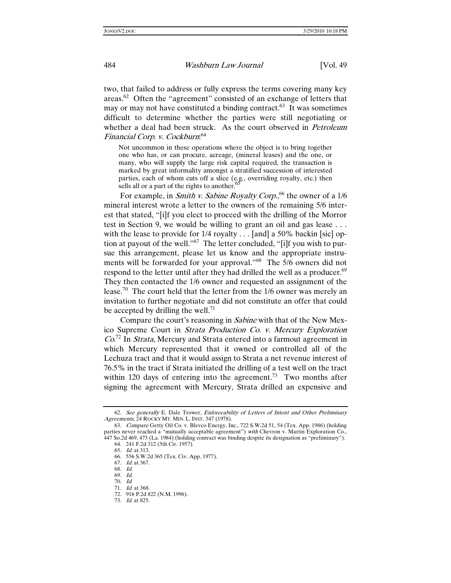two, that failed to address or fully express the terms covering many key areas.62 Often the "agreement" consisted of an exchange of letters that may or may not have constituted a binding contract. $63$  It was sometimes difficult to determine whether the parties were still negotiating or whether a deal had been struck. As the court observed in *Petroleum* Financial Corp. v. Cockburn: 64

Not uncommon in these operations where the object is to bring together one who has, or can procure, acreage, (mineral leases) and the one, or many, who will supply the large risk capital required, the transaction is marked by great informality amongst a stratified succession of interested parties, each of whom cuts off a slice (e.g., overriding royalty, etc.) then sells all or a part of the rights to another.<sup>6</sup>

For example, in *Smith v. Sabine Royalty Corp*.,<sup>66</sup> the owner of a 1/6 mineral interest wrote a letter to the owners of the remaining 5/6 interest that stated, "[i]f you elect to proceed with the drilling of the Morror test in Section 9, we would be willing to grant an oil and gas lease . . . with the lease to provide for 1/4 royalty . . . [and] a 50% backin [sic] option at payout of the well."67 The letter concluded, "[i]f you wish to pursue this arrangement, please let us know and the appropriate instruments will be forwarded for your approval."<sup>68</sup> The 5/6 owners did not respond to the letter until after they had drilled the well as a producer.<sup>69</sup> They then contacted the 1/6 owner and requested an assignment of the lease.<sup>70</sup> The court held that the letter from the  $1/6$  owner was merely an invitation to further negotiate and did not constitute an offer that could be accepted by drilling the well.<sup>71</sup>

Compare the court's reasoning in Sabine with that of the New Mexico Supreme Court in Strata Production Co. v. Mercury Exploration  $Co^{72}$  In *Strata*, Mercury and Strata entered into a farmout agreement in which Mercury represented that it owned or controlled all of the Lechuza tract and that it would assign to Strata a net revenue interest of 76.5% in the tract if Strata initiated the drilling of a test well on the tract within 120 days of entering into the agreement.<sup>73</sup> Two months after signing the agreement with Mercury, Strata drilled an expensive and

<sup>62</sup>. See generally E. Dale Trower, Enforceability of Letters of Intent and Other Preliminary Agreements, 24 ROCKY MT. MIN. L. INST. 347 (1978).

<sup>63</sup>. Compare Getty Oil Co. v. Blevco Energy, Inc., 722 S.W.2d 51, 54 (Tex. App. 1986) (holding parties never reached a "mutually acceptable agreement") with Chevron v. Martin Exploration Co., 447 So.2d 469, 473 (La. 1984) (holding contract was binding despite its designation as "preliminary").

 <sup>64. 241</sup> F.2d 312 (5th Cir. 1957).

<sup>65</sup>. Id. at 313.

 <sup>66. 556</sup> S.W.2d 365 (Tex. Civ. App. 1977).

<sup>67</sup>. Id. at 367.

<sup>68</sup>. Id.

<sup>69</sup>. Id.

<sup>70</sup>. Id.

<sup>71</sup>. Id. at 368.

 <sup>72. 916</sup> P.2d 822 (N.M. 1996).

<sup>73</sup>. Id. at 825.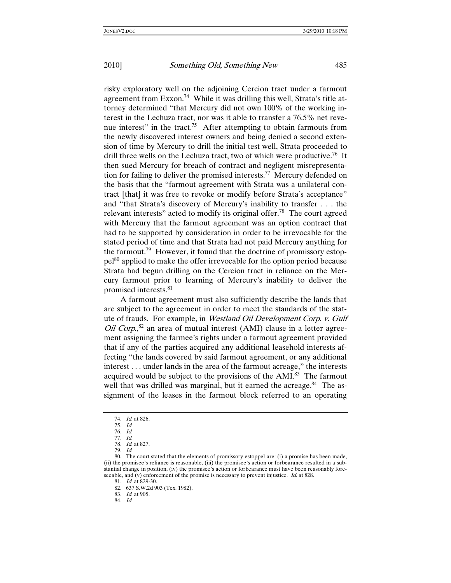risky exploratory well on the adjoining Cercion tract under a farmout agreement from Exxon.<sup>74</sup> While it was drilling this well, Strata's title attorney determined "that Mercury did not own 100% of the working interest in the Lechuza tract, nor was it able to transfer a 76.5% net revenue interest" in the tract.<sup>75</sup> After attempting to obtain farmouts from the newly discovered interest owners and being denied a second extension of time by Mercury to drill the initial test well, Strata proceeded to drill three wells on the Lechuza tract, two of which were productive.<sup>76</sup> It then sued Mercury for breach of contract and negligent misrepresentation for failing to deliver the promised interests.<sup>77</sup> Mercury defended on the basis that the "farmout agreement with Strata was a unilateral contract [that] it was free to revoke or modify before Strata's acceptance" and "that Strata's discovery of Mercury's inability to transfer . . . the relevant interests" acted to modify its original offer.<sup>78</sup> The court agreed with Mercury that the farmout agreement was an option contract that had to be supported by consideration in order to be irrevocable for the stated period of time and that Strata had not paid Mercury anything for the farmout.<sup>79</sup> However, it found that the doctrine of promissory estoppel80 applied to make the offer irrevocable for the option period because Strata had begun drilling on the Cercion tract in reliance on the Mercury farmout prior to learning of Mercury's inability to deliver the promised interests.81

A farmout agreement must also sufficiently describe the lands that are subject to the agreement in order to meet the standards of the statute of frauds. For example, in Westland Oil Development Corp. v. Gulf *Oil Corp.*<sup>82</sup> an area of mutual interest (AMI) clause in a letter agreement assigning the farmee's rights under a farmout agreement provided that if any of the parties acquired any additional leasehold interests affecting "the lands covered by said farmout agreement, or any additional interest . . . under lands in the area of the farmout acreage," the interests acquired would be subject to the provisions of the AMI.<sup>83</sup> The farmout well that was drilled was marginal, but it earned the acreage.<sup>84</sup> The assignment of the leases in the farmout block referred to an operating

81. Id. at 829-30.

<sup>74</sup>. Id. at 826.

<sup>75</sup>. Id.

<sup>76</sup>. Id.

<sup>77</sup>. Id. 78. Id. at 827.

<sup>79</sup>. Id.

 <sup>80.</sup> The court stated that the elements of promissory estoppel are: (i) a promise has been made, (ii) the promisee's reliance is reasonable, (iii) the promisee's action or forbearance resulted in a substantial change in position, (iv) the promisee's action or forbearance must have been reasonably foreseeable, and (v) enforcement of the promise is necessary to prevent injustice. *Id.* at 828.

 <sup>82. 637</sup> S.W.2d 903 (Tex. 1982).

<sup>83</sup>. Id. at 905.

<sup>84</sup>. Id.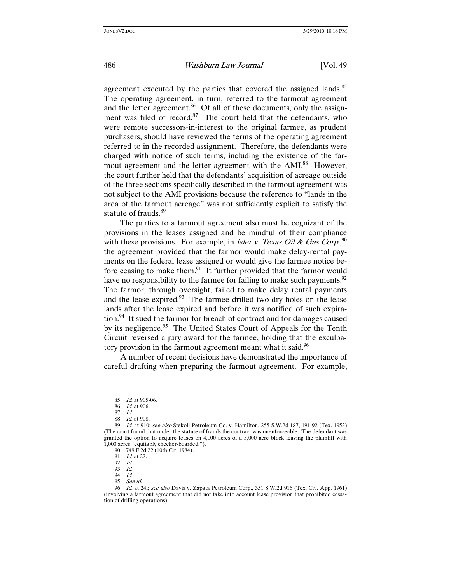agreement executed by the parties that covered the assigned lands.<sup>85</sup> The operating agreement, in turn, referred to the farmout agreement and the letter agreement. $86$  Of all of these documents, only the assignment was filed of record. $87$  The court held that the defendants, who were remote successors-in-interest to the original farmee, as prudent purchasers, should have reviewed the terms of the operating agreement referred to in the recorded assignment. Therefore, the defendants were charged with notice of such terms, including the existence of the farmout agreement and the letter agreement with the AMI.<sup>88</sup> However, the court further held that the defendants' acquisition of acreage outside of the three sections specifically described in the farmout agreement was not subject to the AMI provisions because the reference to "lands in the area of the farmout acreage" was not sufficiently explicit to satisfy the statute of frauds.<sup>89</sup>

The parties to a farmout agreement also must be cognizant of the provisions in the leases assigned and be mindful of their compliance with these provisions. For example, in *Isler v. Texas Oil & Gas Corp*.<sup>90</sup> the agreement provided that the farmor would make delay-rental payments on the federal lease assigned or would give the farmee notice before ceasing to make them.<sup>91</sup> It further provided that the farmor would have no responsibility to the farmee for failing to make such payments. <sup>92</sup> The farmor, through oversight, failed to make delay rental payments and the lease expired. $93$  The farmee drilled two dry holes on the lease lands after the lease expired and before it was notified of such expiration.<sup>94</sup> It sued the farmor for breach of contract and for damages caused by its negligence.<sup>95</sup> The United States Court of Appeals for the Tenth Circuit reversed a jury award for the farmee, holding that the exculpatory provision in the farmout agreement meant what it said.<sup>96</sup>

A number of recent decisions have demonstrated the importance of careful drafting when preparing the farmout agreement. For example,

<sup>85</sup>. Id. at 905-06.

<sup>86</sup>. Id. at 906.

<sup>87</sup>. Id.

<sup>88</sup>. Id. at 908.

<sup>89.</sup> Id. at 910; see also Stekoll Petroleum Co. v. Hamilton, 255 S.W.2d 187, 191-92 (Tex. 1953) (The court found that under the statute of frauds the contract was unenforceable. The defendant was granted the option to acquire leases on 4,000 acres of a 5,000 acre block leaving the plaintiff with 1,000 acres "equitably checker-boarded.").

 <sup>90. 749</sup> F.2d 22 (10th Cir. 1984).

<sup>91</sup>. Id. at 22.

<sup>92</sup>. Id.

<sup>93</sup>. Id.

<sup>94</sup>. Id.

<sup>95</sup>. See id.

<sup>96.</sup> Id. at 24l; see also Davis v. Zapata Petroleum Corp., 351 S.W.2d 916 (Tex. Civ. App. 1961) (involving a farmout agreement that did not take into account lease provision that prohibited cessation of drilling operations).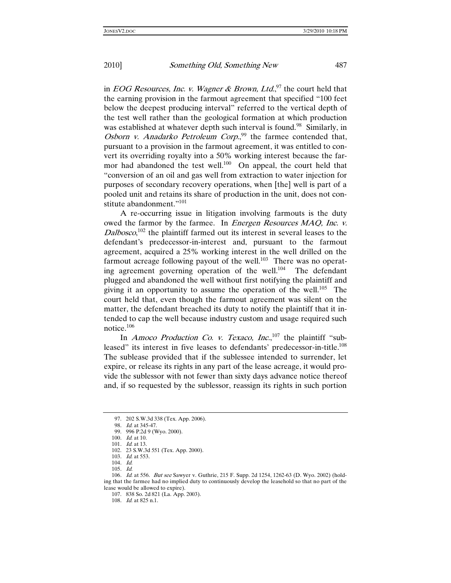in *EOG Resources, Inc. v. Wagner & Brown, Ltd.*<sup>97</sup> the court held that the earning provision in the farmout agreement that specified "100 feet below the deepest producing interval" referred to the vertical depth of the test well rather than the geological formation at which production was established at whatever depth such interval is found.<sup>98</sup> Similarly, in Osborn v. Anadarko Petroleum Corp.,<sup>99</sup> the farmee contended that, pursuant to a provision in the farmout agreement, it was entitled to convert its overriding royalty into a 50% working interest because the farmor had abandoned the test well.<sup>100</sup> On appeal, the court held that "conversion of an oil and gas well from extraction to water injection for purposes of secondary recovery operations, when [the] well is part of a pooled unit and retains its share of production in the unit, does not constitute abandonment."<sup>101</sup>

A re-occurring issue in litigation involving farmouts is the duty owed the farmor by the farmee. In *Energen Resources MAQ, Inc. v.*  $Dalbsco$ <sup>102</sup> the plaintiff farmed out its interest in several leases to the defendant's predecessor-in-interest and, pursuant to the farmout agreement, acquired a 25% working interest in the well drilled on the farmout acreage following payout of the well.<sup>103</sup> There was no operating agreement governing operation of the well.<sup>104</sup> The defendant plugged and abandoned the well without first notifying the plaintiff and giving it an opportunity to assume the operation of the well.<sup>105</sup> The court held that, even though the farmout agreement was silent on the matter, the defendant breached its duty to notify the plaintiff that it intended to cap the well because industry custom and usage required such notice.106

In *Amoco Production Co. v. Texaco, Inc.*,<sup>107</sup> the plaintiff "subleased" its interest in five leases to defendants' predecessor-in-title.<sup>108</sup> The sublease provided that if the sublessee intended to surrender, let expire, or release its rights in any part of the lease acreage, it would provide the sublessor with not fewer than sixty days advance notice thereof and, if so requested by the sublessor, reassign its rights in such portion

 <sup>97. 202</sup> S.W.3d 338 (Tex. App. 2006).

<sup>98</sup>. Id. at 345-47.

 <sup>99. 996</sup> P.2d 9 (Wyo. 2000).

<sup>100</sup>. Id. at 10.

<sup>101</sup>. Id. at 13.

 <sup>102. 23</sup> S.W.3d 551 (Tex. App. 2000).

<sup>103</sup>. Id. at 553.

<sup>104</sup>. Id.

<sup>105</sup>. Id.

<sup>106</sup>. Id. at 556. But see Sawyer v. Guthrie, 215 F. Supp. 2d 1254, 1262-63 (D. Wyo. 2002) (holding that the farmee had no implied duty to continuously develop the leasehold so that no part of the lease would be allowed to expire).

 <sup>107. 838</sup> So. 2d 821 (La. App. 2003).

<sup>108</sup>. Id. at 825 n.1.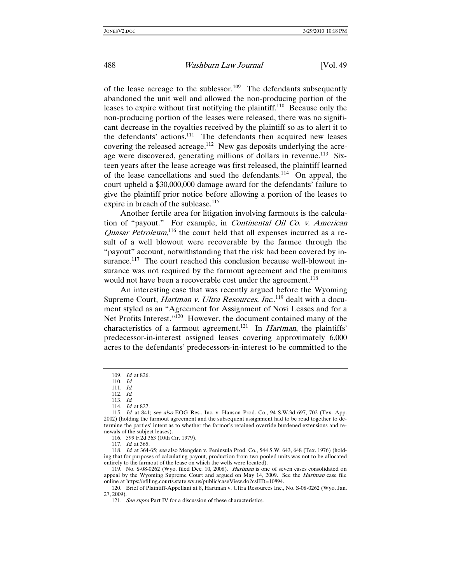of the lease acreage to the sublessor.<sup>109</sup> The defendants subsequently abandoned the unit well and allowed the non-producing portion of the leases to expire without first notifying the plaintiff.<sup>110</sup> Because only the non-producing portion of the leases were released, there was no significant decrease in the royalties received by the plaintiff so as to alert it to the defendants' actions.<sup>111</sup> The defendants then acquired new leases covering the released acreage.112 New gas deposits underlying the acreage were discovered, generating millions of dollars in revenue.<sup>113</sup> Sixteen years after the lease acreage was first released, the plaintiff learned of the lease cancellations and sued the defendants.<sup>114</sup> On appeal, the court upheld a \$30,000,000 damage award for the defendants' failure to give the plaintiff prior notice before allowing a portion of the leases to expire in breach of the sublease.<sup>115</sup>

Another fertile area for litigation involving farmouts is the calculation of "payout." For example, in Continental Oil Co. v. American Quasar Petroleum,<sup>116</sup> the court held that all expenses incurred as a result of a well blowout were recoverable by the farmee through the "payout" account, notwithstanding that the risk had been covered by insurance.<sup>117</sup> The court reached this conclusion because well-blowout insurance was not required by the farmout agreement and the premiums would not have been a recoverable cost under the agreement.<sup>118</sup>

An interesting case that was recently argued before the Wyoming Supreme Court, *Hartman v. Ultra Resources, Inc.*,<sup>119</sup> dealt with a document styled as an "Agreement for Assignment of Novi Leases and for a Net Profits Interest."<sup>120</sup> However, the document contained many of the characteristics of a farmout agreement.<sup>121</sup> In *Hartman*, the plaintiffs' predecessor-in-interest assigned leases covering approximately 6,000 acres to the defendants' predecessors-in-interest to be committed to the

<sup>109</sup>. Id. at 826.

<sup>110</sup>. Id.

<sup>111</sup>. Id.

<sup>112</sup>. Id.

<sup>113</sup>. Id.

<sup>114</sup>. Id. at 827.

<sup>115</sup>. Id. at 841; see also EOG Res., Inc. v. Hanson Prod. Co., 94 S.W.3d 697, 702 (Tex. App. 2002) (holding the farmout agreement and the subsequent assignment had to be read together to determine the parties' intent as to whether the farmor's retained override burdened extensions and renewals of the subject leases).

 <sup>116. 599</sup> F.2d 363 (10th Cir. 1979).

<sup>117</sup>. Id. at 365.

<sup>118</sup>. Id. at 364-65; see also Mengden v. Peninsula Prod. Co., 544 S.W. 643, 648 (Tex. 1976) (holding that for purposes of calculating payout, production from two pooled units was not to be allocated entirely to the farmout of the lease on which the wells were located).

 <sup>119.</sup> No. S-08-0262 (Wyo. filed Dec. 10, 2008). Hartman is one of seven cases consolidated on appeal by the Wyoming Supreme Court and argued on May 14, 2009. See the Hartman case file online at https://efiling.courts.state.wy.us/public/caseView.do?csIID=10894.

 <sup>120.</sup> Brief of Plaintiff-Appellant at 8, Hartman v. Ultra Resources Inc., No. S-08-0262 (Wyo. Jan. 27, 2009).

<sup>121.</sup> See supra Part IV for a discussion of these characteristics.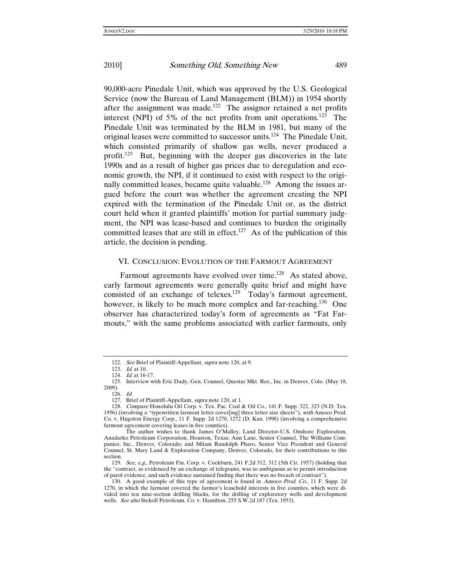90,000-acre Pinedale Unit, which was approved by the U.S. Geological Service (now the Bureau of Land Management (BLM)) in 1954 shortly after the assignment was made.<sup>122</sup> The assignor retained a net profits interest (NPI) of 5% of the net profits from unit operations.<sup>123</sup> The Pinedale Unit was terminated by the BLM in 1981, but many of the original leases were committed to successor units.124 The Pinedale Unit, which consisted primarily of shallow gas wells, never produced a profit.<sup>125</sup> But, beginning with the deeper gas discoveries in the late 1990s and as a result of higher gas prices due to deregulation and economic growth, the NPI, if it continued to exist with respect to the originally committed leases, became quite valuable.<sup>126</sup> Among the issues argued before the court was whether the agreement creating the NPI expired with the termination of the Pinedale Unit or, as the district court held when it granted plaintiffs' motion for partial summary judgment, the NPI was lease-based and continues to burden the originally committed leases that are still in effect.<sup>127</sup> As of the publication of this article, the decision is pending.

### VI. CONCLUSION: EVOLUTION OF THE FARMOUT AGREEMENT

Farmout agreements have evolved over time.<sup>128</sup> As stated above, early farmout agreements were generally quite brief and might have consisted of an exchange of telexes.<sup>129</sup> Today's farmout agreement, however, is likely to be much more complex and far-reaching.<sup>130</sup> One observer has characterized today's form of agreements as "Fat Farmouts," with the same problems associated with earlier farmouts, only

<sup>122</sup>. See Brief of Plaintiff-Appellant, supra note 120, at 9.

<sup>123</sup>. Id. at 10. 124. Id. at 16-17.

 <sup>125.</sup> Interview with Eric Dady, Gen. Counsel, Questar Mkt. Res., Inc. in Denver, Colo. (May 18, 2009).

<sup>126</sup>. Id.

 <sup>127.</sup> Brief of Plaintiff-Appellant, supra note 120, at 1.

<sup>128</sup>. Compare Honolulu Oil Corp. v. Tex. Pac. Coal & Oil Co., 141 F. Supp. 322, 323 (N.D. Tex. 1956) (involving a "typewritten farmout letter cover[ing] three letter size sheets"), with Amoco Prod. Co. v. Hugoton Energy Corp., 11 F. Supp. 2d 1270, 1272 (D. Kan. 1998) (involving a comprehensive farmout agreement covering leases in five counties).

The author wishes to thank James O'Malley, Land Director-U.S. Onshore Exploration, Anadarko Petroleum Corporation, Houston, Texas; Ann Lane, Senior Counsel, The Williams Companies, Inc., Denver, Colorado; and Milam Randolph Pharo, Senior Vice President and General Counsel, St. Mary Land & Exploration Company, Denver, Colorado, for their contributions to this section.

<sup>129.</sup> See, e.g., Petroleum Fin. Corp. v. Cockburn, 241 F.2d 312, 312 (5th Cir. 1957) (holding that the "contract, as evidenced by an exchange of telegrams, was so ambiguous as to permit introduction of parol evidence, and such evidence sustained finding that there was no breach of contract").

 <sup>130.</sup> A good example of this type of agreement is found in Amoco Prod. Co., 11 F. Supp. 2d 1270, in which the farmout covered the farmor's leasehold interests in five counties, which were divided into ten nine-section drilling blocks, for the drilling of exploratory wells and development wells. See also Stekoll Petroleum. Co. v. Hamilton, 255 S.W.2d 187 (Tex. 1953).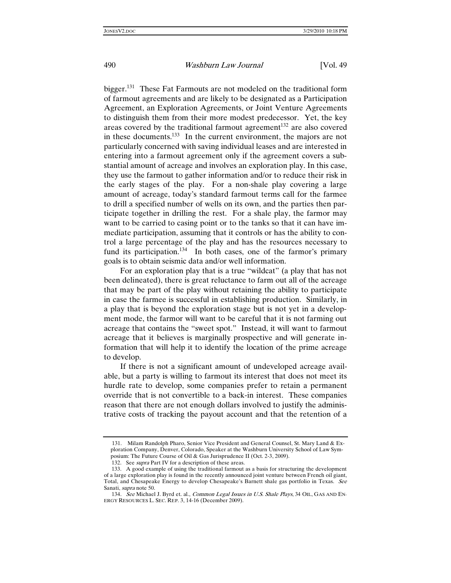bigger.131 These Fat Farmouts are not modeled on the traditional form of farmout agreements and are likely to be designated as a Participation Agreement, an Exploration Agreements, or Joint Venture Agreements to distinguish them from their more modest predecessor. Yet, the key areas covered by the traditional farmout agreement<sup>132</sup> are also covered in these documents.<sup>133</sup> In the current environment, the majors are not particularly concerned with saving individual leases and are interested in entering into a farmout agreement only if the agreement covers a substantial amount of acreage and involves an exploration play. In this case, they use the farmout to gather information and/or to reduce their risk in the early stages of the play. For a non-shale play covering a large amount of acreage, today's standard farmout terms call for the farmee to drill a specified number of wells on its own, and the parties then participate together in drilling the rest. For a shale play, the farmor may want to be carried to casing point or to the tanks so that it can have immediate participation, assuming that it controls or has the ability to control a large percentage of the play and has the resources necessary to fund its participation.<sup>134</sup> In both cases, one of the farmor's primary goals is to obtain seismic data and/or well information.

For an exploration play that is a true "wildcat" (a play that has not been delineated), there is great reluctance to farm out all of the acreage that may be part of the play without retaining the ability to participate in case the farmee is successful in establishing production. Similarly, in a play that is beyond the exploration stage but is not yet in a development mode, the farmor will want to be careful that it is not farming out acreage that contains the "sweet spot." Instead, it will want to farmout acreage that it believes is marginally prospective and will generate information that will help it to identify the location of the prime acreage to develop.

If there is not a significant amount of undeveloped acreage available, but a party is willing to farmout its interest that does not meet its hurdle rate to develop, some companies prefer to retain a permanent override that is not convertible to a back-in interest. These companies reason that there are not enough dollars involved to justify the administrative costs of tracking the payout account and that the retention of a

 <sup>131.</sup> Milam Randolph Pharo, Senior Vice President and General Counsel, St. Mary Land & Exploration Company, Denver, Colorado, Speaker at the Washburn University School of Law Symposium: The Future Course of Oil & Gas Jurisprudence II (Oct. 2-3, 2009).

<sup>132.</sup> See *supra* Part IV for a description of these areas.

 <sup>133.</sup> A good example of using the traditional farmout as a basis for structuring the development of a large exploration play is found in the recently announced joint venture between French oil giant, Total, and Chesapeake Energy to develop Chesapeake's Barnett shale gas portfolio in Texas. See Sanati, supra note 50.

<sup>134.</sup> See Michael J. Byrd et. al., Common Legal Issues in U.S. Shale Plays, 34 OIL, GAS AND EN-ERGY RESOURCES L. SEC. REP. 3, 14-16 (December 2009).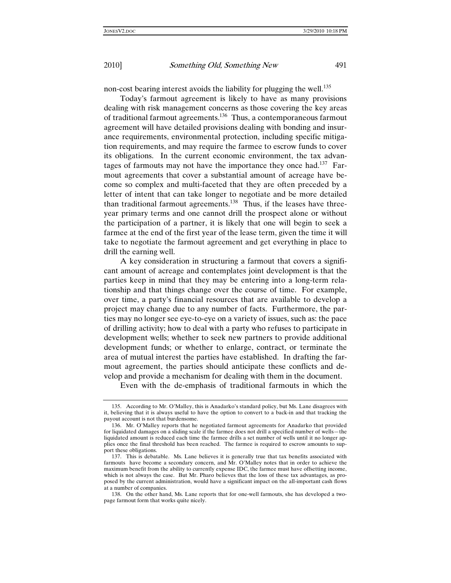non-cost bearing interest avoids the liability for plugging the well.<sup>135</sup>

Today's farmout agreement is likely to have as many provisions dealing with risk management concerns as those covering the key areas of traditional farmout agreements.136 Thus, a contemporaneous farmout agreement will have detailed provisions dealing with bonding and insurance requirements, environmental protection, including specific mitigation requirements, and may require the farmee to escrow funds to cover its obligations. In the current economic environment, the tax advantages of farmouts may not have the importance they once had.<sup>137</sup> Farmout agreements that cover a substantial amount of acreage have become so complex and multi-faceted that they are often preceded by a letter of intent that can take longer to negotiate and be more detailed than traditional farmout agreements.<sup>138</sup> Thus, if the leases have threeyear primary terms and one cannot drill the prospect alone or without the participation of a partner, it is likely that one will begin to seek a farmee at the end of the first year of the lease term, given the time it will take to negotiate the farmout agreement and get everything in place to drill the earning well.

A key consideration in structuring a farmout that covers a significant amount of acreage and contemplates joint development is that the parties keep in mind that they may be entering into a long-term relationship and that things change over the course of time. For example, over time, a party's financial resources that are available to develop a project may change due to any number of facts. Furthermore, the parties may no longer see eye-to-eye on a variety of issues, such as: the pace of drilling activity; how to deal with a party who refuses to participate in development wells; whether to seek new partners to provide additional development funds; or whether to enlarge, contract, or terminate the area of mutual interest the parties have established. In drafting the farmout agreement, the parties should anticipate these conflicts and develop and provide a mechanism for dealing with them in the document.

Even with the de-emphasis of traditional farmouts in which the

 <sup>135.</sup> According to Mr. O'Malley, this is Anadarko's standard policy, but Ms. Lane disagrees with it, believing that it is always useful to have the option to convert to a back-in and that tracking the payout account is not that burdensome.

 <sup>136.</sup> Mr. O'Malley reports that he negotiated farmout agreements for Anadarko that provided for liquidated damages on a sliding scale if the farmee does not drill a specified number of wells—the liquidated amount is reduced each time the farmee drills a set number of wells until it no longer applies once the final threshold has been reached. The farmee is required to escrow amounts to support these obligations.

 <sup>137.</sup> This is debatable. Ms. Lane believes it is generally true that tax benefits associated with farmouts have become a secondary concern, and Mr. O'Malley notes that in order to achieve the maximum benefit from the ability to currently expense IDC, the farmee must have offsetting income, which is not always the case. But Mr. Pharo believes that the loss of these tax advantages, as proposed by the current administration, would have a significant impact on the all-important cash flows at a number of companies.

 <sup>138.</sup> On the other hand, Ms. Lane reports that for one-well farmouts, she has developed a twopage farmout form that works quite nicely.